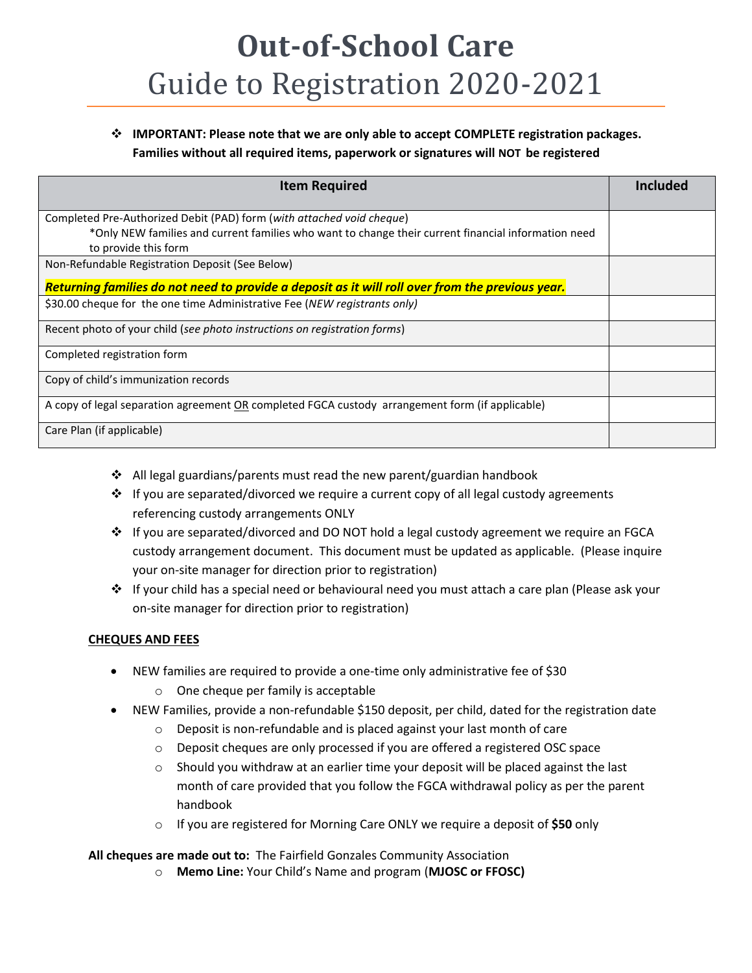## **Out-of-School Care**  Guide to Registration 2020-2021

## **IMPORTANT: Please note that we are only able to accept COMPLETE registration packages. Families without all required items, paperwork or signatures will NOT be registered**

| <b>Item Required</b>                                                                                | <b>Included</b> |
|-----------------------------------------------------------------------------------------------------|-----------------|
| Completed Pre-Authorized Debit (PAD) form (with attached void cheque)                               |                 |
| *Only NEW families and current families who want to change their current financial information need |                 |
| to provide this form                                                                                |                 |
| Non-Refundable Registration Deposit (See Below)                                                     |                 |
| Returning families do not need to provide a deposit as it will roll over from the previous year.    |                 |
| \$30.00 cheque for the one time Administrative Fee (NEW registrants only)                           |                 |
| Recent photo of your child (see photo instructions on registration forms)                           |                 |
| Completed registration form                                                                         |                 |
| Copy of child's immunization records                                                                |                 |
| A copy of legal separation agreement OR completed FGCA custody arrangement form (if applicable)     |                 |
| Care Plan (if applicable)                                                                           |                 |

- All legal guardians/parents must read the new parent/guardian handbook
- \* If you are separated/divorced we require a current copy of all legal custody agreements referencing custody arrangements ONLY
- If you are separated/divorced and DO NOT hold a legal custody agreement we require an FGCA custody arrangement document. This document must be updated as applicable. (Please inquire your on-site manager for direction prior to registration)
- If your child has a special need or behavioural need you must attach a care plan (Please ask your on-site manager for direction prior to registration)

## **CHEQUES AND FEES**

- NEW families are required to provide a one-time only administrative fee of \$30
	- o One cheque per family is acceptable
- NEW Families, provide a non-refundable \$150 deposit, per child, dated for the registration date
	- o Deposit is non-refundable and is placed against your last month of care
	- o Deposit cheques are only processed if you are offered a registered OSC space
	- $\circ$  Should you withdraw at an earlier time your deposit will be placed against the last month of care provided that you follow the FGCA withdrawal policy as per the parent handbook
	- o If you are registered for Morning Care ONLY we require a deposit of **\$50** only

**All cheques are made out to:** The Fairfield Gonzales Community Association

o **Memo Line:** Your Child's Name and program (**MJOSC or FFOSC)**